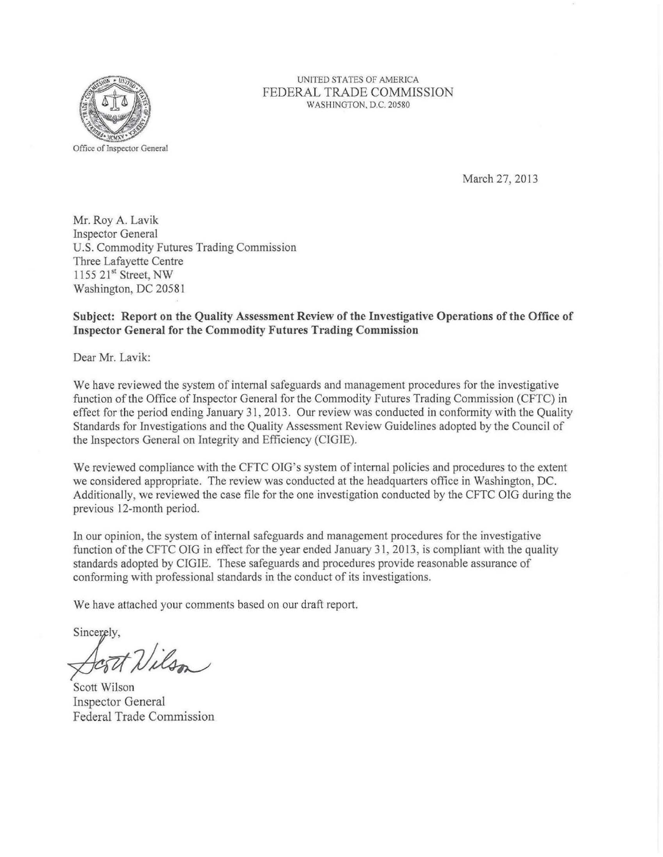

## UNITED STATES OF AMERICA FEDERAL TRADE COMMISSION WASHINGTON, D.C. 20580

March 27, 2013

Mr. Roy A. Lavik Inspector General U.S. Commodity Futures Trading Commission Three Lafayette Centre 1155 21st Street, NW Washington, DC 20581

## **Subject: Report on the Quality Assessment Review of the Investigative Operations of the Office of Inspector General for the Commodity Futures Trading Commission**

Dear Mr. Lavik:

We have reviewed the system of internal safeguards and management procedures for the investigative function of the Office of Inspector General for the Commodity Futures Trading Commission (CFTC) in effect for the period ending January 31, 2013. Our review was conducted in conformity with the Qualit y Standards for Investigations and the Quality Assessment Review Guidelines adopted by the Council of the Inspectors General on Integrity and Efficiency (CIGIE).

We reviewed compliance with the CFTC OIG's system of internal policies and procedures to the extent we considered appropriate. The review was conducted at the headquarters office in Washington, DC. Additionally, we reviewed the case file for the one investigation conducted by the CFTC OIG during the previous 12-month period.

In our opinion, the system of internal safeguards and management procedures for the investigative function of the CFTC OIG in effect for the year ended January 31, 2013, is compliant with the quality standards adopted by CIGIE. These safeguards and procedures provide reasonable assurance of conforming with professional standards in the conduct of its investigations.

We have attached your comments based on our draft report.

Sincerely,

Scott Nilson

Scott Wilson Inspector General Federal Trade Commission